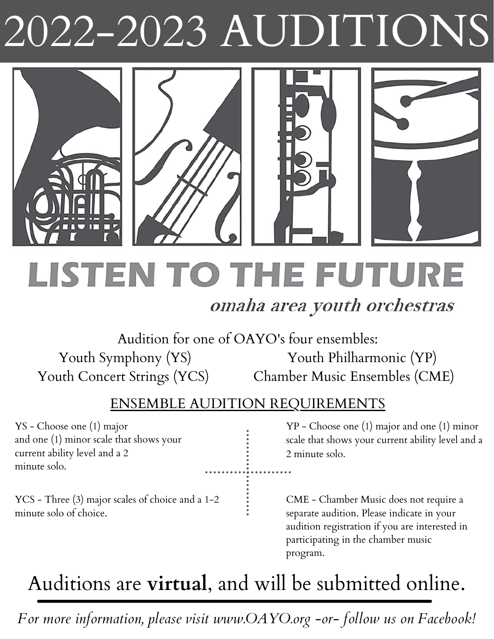# 2022-2023 AUDITIONS



**LISTEN TO THE FUTURE** 

### omaha area youth orchestras

Audition for one of OAYO's four ensembles: Youth Symphony (YS) Youth Philharmonic (YP) Youth Concert Strings (YCS) Chamber Music Ensembles (CME)

#### ENSEMBLE AUDITION REQUIREMENTS

YS - Choose one (1) major and one (1) minor scale that shows your current ability level and a 2 minute solo.

YP - Choose one (1) major and one (1) minor scale that shows your current ability level and a 2 minute solo.

YCS - Three (3) major scales of choice and a 1-2 minute solo of choice.

CME - Chamber Music does not require a separate audition. Please indicate in your audition registration if you are interested in participating in the chamber music program.

# Auditions are **virtual**, and will be submitted online.

*For more information, please visit www.OAYO.org -or- follow us on Facebook!*